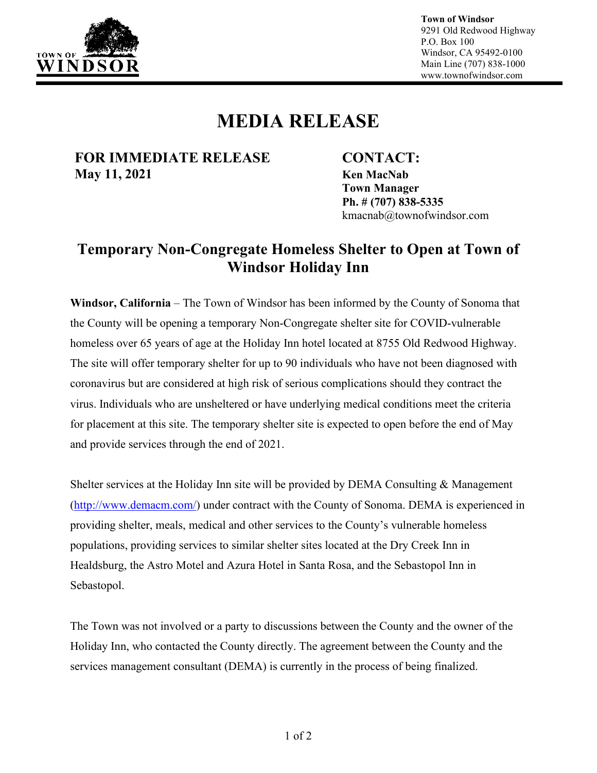

**Town of Windsor** 9291 Old Redwood Highway P.O. Box 100 Windsor, CA 95492-0100 Main Line (707) 838-1000 www.townofwindsor.com

## **MEDIA RELEASE**

**FOR IMMEDIATE RELEASE CONTACT: May 11, 2021 Ken MacNab**

**Town Manager Ph. # (707) 838-5335** kmacnab@townofwindsor.com

## **Temporary Non-Congregate Homeless Shelter to Open at Town of Windsor Holiday Inn**

**Windsor, California** – The Town of Windsor has been informed by the County of Sonoma that the County will be opening a temporary Non-Congregate shelter site for COVID-vulnerable homeless over 65 years of age at the Holiday Inn hotel located at 8755 Old Redwood Highway. The site will offer temporary shelter for up to 90 individuals who have not been diagnosed with coronavirus but are considered at high risk of serious complications should they contract the virus. Individuals who are unsheltered or have underlying medical conditions meet the criteria for placement at this site. The temporary shelter site is expected to open before the end of May and provide services through the end of 2021.

Shelter services at the Holiday Inn site will be provided by DEMA Consulting & Management [\(http://www.demacm.com/\)](http://www.demacm.com/) under contract with the County of Sonoma. DEMA is experienced in providing shelter, meals, medical and other services to the County's vulnerable homeless populations, providing services to similar shelter sites located at the Dry Creek Inn in Healdsburg, the Astro Motel and Azura Hotel in Santa Rosa, and the Sebastopol Inn in Sebastopol.

The Town was not involved or a party to discussions between the County and the owner of the Holiday Inn, who contacted the County directly. The agreement between the County and the services management consultant (DEMA) is currently in the process of being finalized.